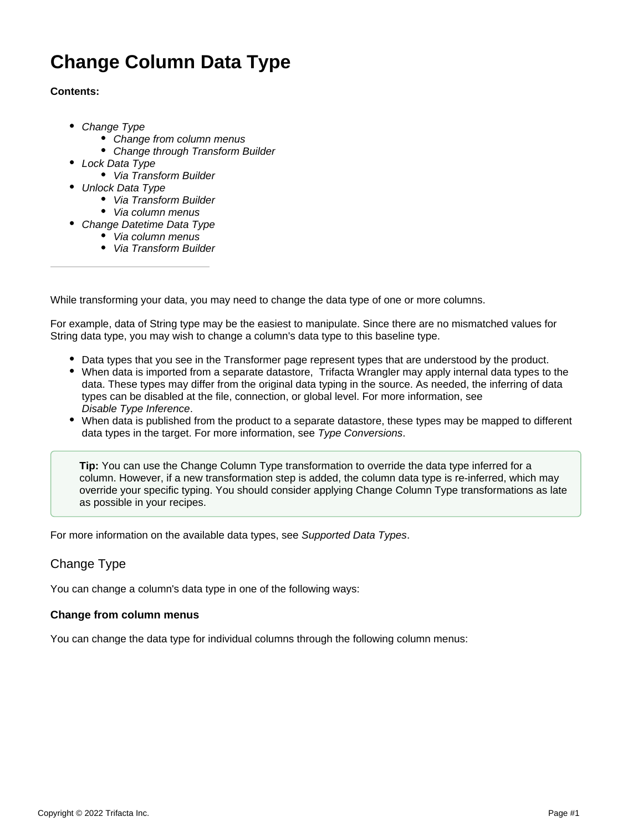# **Change Column Data Type**

# **Contents:**

- [Change Type](#page-0-0)
	- [Change from column menus](#page-0-1)
	- Change through Transform Builder
- [Lock Data Type](#page-1-1)
	- [Via Transform Builder](#page-2-0)
- [Unlock Data Type](#page-2-1)
	- [Via Transform Builder](#page-3-0)
	- [Via column menus](#page-3-1)
- [Change Datetime Data Type](#page-3-2)
	- [Via column menus](#page-3-3)
	- [Via Transform Builder](#page-3-4)

While transforming your data, you may need to change the data type of one or more columns.

For example, data of String type may be the easiest to manipulate. Since there are no mismatched values for String data type, you may wish to change a column's data type to this baseline type.

- Data types that you see in the Transformer page represent types that are understood by the product.
- When data is imported from a separate datastore, Trifacta Wrangler may apply internal data types to the data. These types may differ from the original data typing in the source. As needed, the inferring of data types can be disabled at the file, connection, or global level. For more information, see [Disable Type Inference](https://docs.trifacta.com/display/SS/Disable+Type+Inference).
- When data is published from the product to a separate datastore, these types may be mapped to different data types in the target. For more information, see [Type Conversions](https://docs.trifacta.com/display/SS/Type+Conversions).

**Tip:** You can use the Change Column Type transformation to override the data type inferred for a column. However, if a new transformation step is added, the column data type is re-inferred, which may override your specific typing. You should consider applying Change Column Type transformations as late as possible in your recipes.

For more information on the available data types, see [Supported Data Types](https://docs.trifacta.com/display/SS/Supported+Data+Types).

# <span id="page-0-0"></span>Change Type

You can change a column's data type in one of the following ways:

# <span id="page-0-1"></span>**Change from column menus**

You can change the data type for individual columns through the following column menus: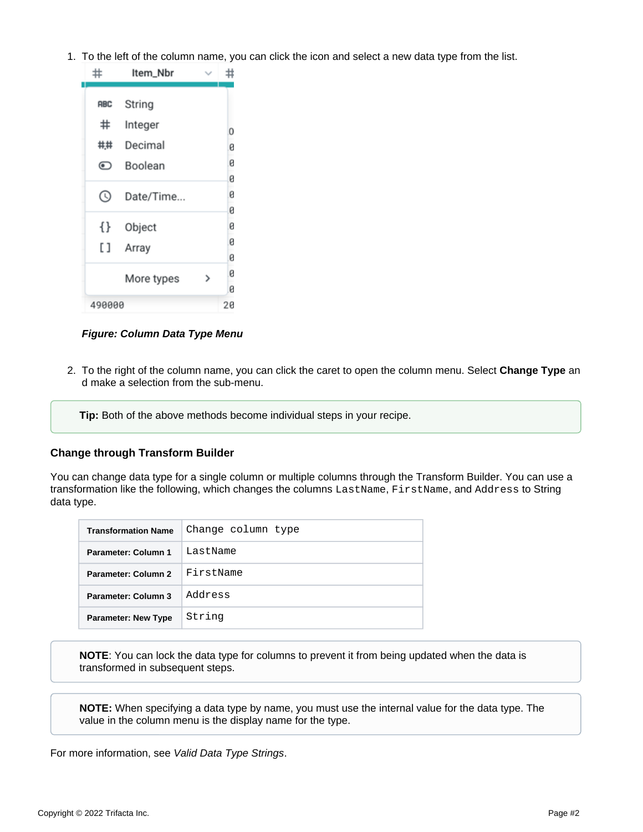1. To the left of the column name, you can click the icon and select a new data type from the list.



**Figure: Column Data Type Menu**

2. To the right of the column name, you can click the caret to open the column menu. Select **Change Type** an d make a selection from the sub-menu.

**Tip:** Both of the above methods become individual steps in your recipe.

# <span id="page-1-0"></span>**Change through Transform Builder**

You can change data type for a single column or multiple columns through the Transform Builder. You can use a transformation like the following, which changes the columns LastName, FirstName, and Address to String data type.

| <b>Transformation Name</b> | Change column type |
|----------------------------|--------------------|
| Parameter: Column 1        | LastName           |
| Parameter: Column 2        | FirstName          |
| Parameter: Column 3        | Address            |
| <b>Parameter: New Type</b> | String             |

**NOTE**: You can lock the data type for columns to prevent it from being updated when the data is transformed in subsequent steps.

**NOTE:** When specifying a data type by name, you must use the internal value for the data type. The value in the column menu is the display name for the type.

<span id="page-1-1"></span>For more information, see [Valid Data Type Strings](https://docs.trifacta.com/display/SS/Valid+Data+Type+Strings).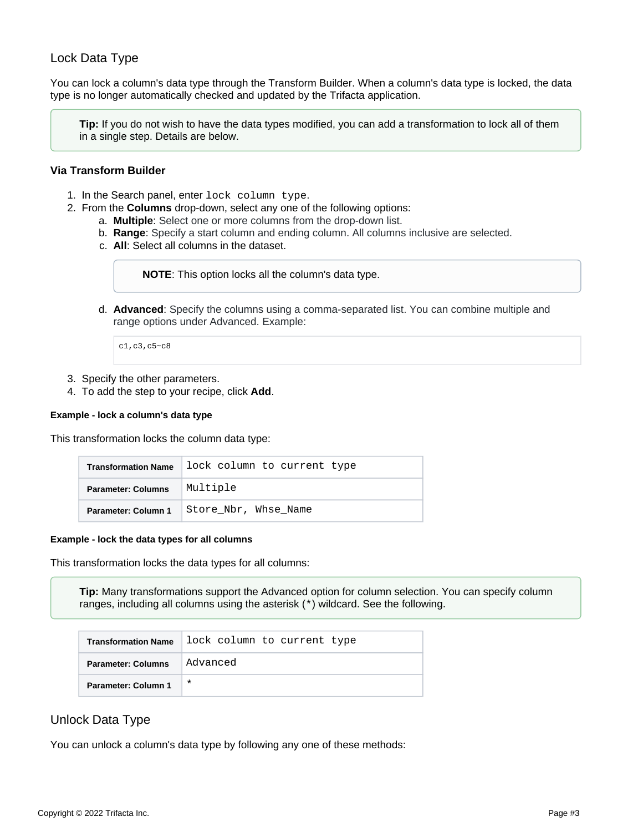# Lock Data Type

You can lock a column's data type through the Transform Builder. When a column's data type is locked, the data type is no longer automatically checked and updated by the Trifacta application.

**Tip:** If you do not wish to have the data types modified, you can add a transformation to lock all of them in a single step. Details are below.

## <span id="page-2-0"></span>**Via Transform Builder**

- 1. In the Search panel, enter lock column type.
- 2. From the **Columns** drop-down, select any one of the following options:
	- a. **Multiple**: Select one or more columns from the drop-down list.
	- b. **Range**: Specify a start column and ending column. All columns inclusive are selected.
	- c. **All**: Select all columns in the dataset.

**NOTE**: This option locks all the column's data type.

d. **Advanced**: Specify the columns using a comma-separated list. You can combine multiple and range options under Advanced. Example:

c1,c3,c5~c8

- 3. Specify the other parameters.
- 4. To add the step to your recipe, click **Add**.

#### **Example - lock a column's data type**

This transformation locks the column data type:

| <b>Transformation Name</b> | lock column to current type |
|----------------------------|-----------------------------|
| <b>Parameter: Columns</b>  | Multiple                    |
| Parameter: Column 1        | Store_Nbr, Whse Name        |

#### **Example - lock the data types for all columns**

This transformation locks the data types for all columns:

**Tip:** Many transformations support the Advanced option for column selection. You can specify column ranges, including all columns using the asterisk (\*) wildcard. See the following.

| <b>Transformation Name</b> | lock column to current type |
|----------------------------|-----------------------------|
| <b>Parameter: Columns</b>  | Advanced                    |
| Parameter: Column 1        | $\ast$                      |

# <span id="page-2-1"></span>Unlock Data Type

You can unlock a column's data type by following any one of these methods: